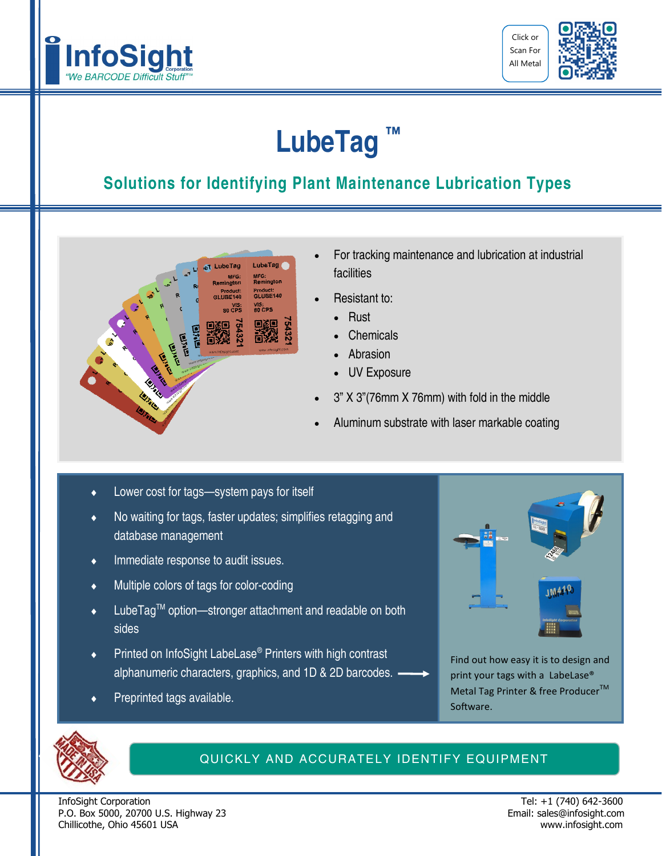



## **LubeTag ™**

### **Solutions for Identifying Plant Maintenance Lubrication Types**



- For tracking maintenance and lubrication at industrial facilities
- Resistant to:
	- Rust
	- Chemicals
	- Abrasion
	- UV Exposure
- 3" X 3"(76mm X 76mm) with fold in the middle
- Aluminum substrate with laser markable coating
- Lower cost for tags—system pays for itself
- No waiting for tags, faster updates; simplifies retagging and database management
- Immediate response to audit issues.
- Multiple colors of tags for color-coding
- LubeTag™ option-stronger attachment and readable on both sides
- Printed on InfoSight LabeLase® Printers with high contrast alphanumeric characters, graphics, and 1D & 2D barcodes.
- Preprinted tags available.



Find out how easy it is to design and print your tags with a LabeLase® Metal Tag Printer & free Producer<sup>™</sup> Software.



#### QUICKLY AND ACCURATELY IDENTIFY EQUIPMENT